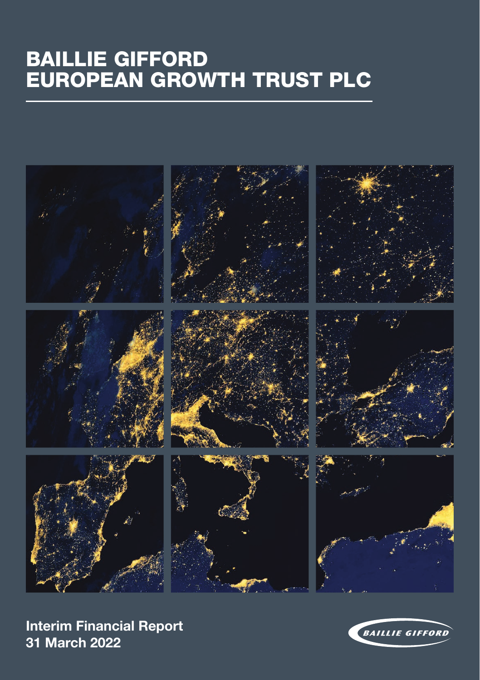# BAILLIE GIFFORD EUROPEAN GROWTH TRUST PLC



**Interim Financial Report Interim Financial Report 30 April 2013 31 March 2022**

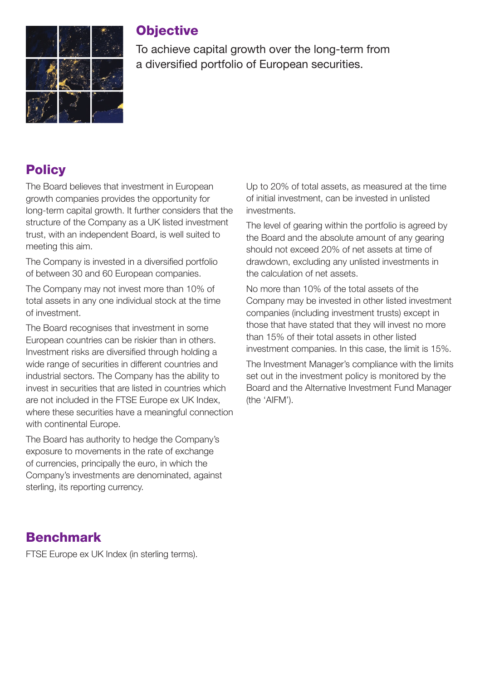

### **Objective**

To achieve capital growth over the long-term from a diversified portfolio of European securities.

## **Policy**

The Board believes that investment in European growth companies provides the opportunity for long-term capital growth. It further considers that the structure of the Company as a UK listed investment trust, with an independent Board, is well suited to meeting this aim.

The Company is invested in a diversified portfolio of between 30 and 60 European companies.

The Company may not invest more than 10% of total assets in any one individual stock at the time of investment.

The Board recognises that investment in some European countries can be riskier than in others. Investment risks are diversified through holding a wide range of securities in different countries and industrial sectors. The Company has the ability to invest in securities that are listed in countries which are not included in the FTSE Europe ex UK Index, where these securities have a meaningful connection with continental Furope.

The Board has authority to hedge the Company's exposure to movements in the rate of exchange of currencies, principally the euro, in which the Company's investments are denominated, against sterling, its reporting currency.

Up to 20% of total assets, as measured at the time of initial investment, can be invested in unlisted investments.

The level of gearing within the portfolio is agreed by the Board and the absolute amount of any gearing should not exceed 20% of net assets at time of drawdown, excluding any unlisted investments in the calculation of net assets.

No more than 10% of the total assets of the Company may be invested in other listed investment companies (including investment trusts) except in those that have stated that they will invest no more than 15% of their total assets in other listed investment companies. In this case, the limit is 15%.

The Investment Manager's compliance with the limits set out in the investment policy is monitored by the Board and the Alternative Investment Fund Manager (the 'AIFM').

## Benchmark

FTSE Europe ex UK Index (in sterling terms).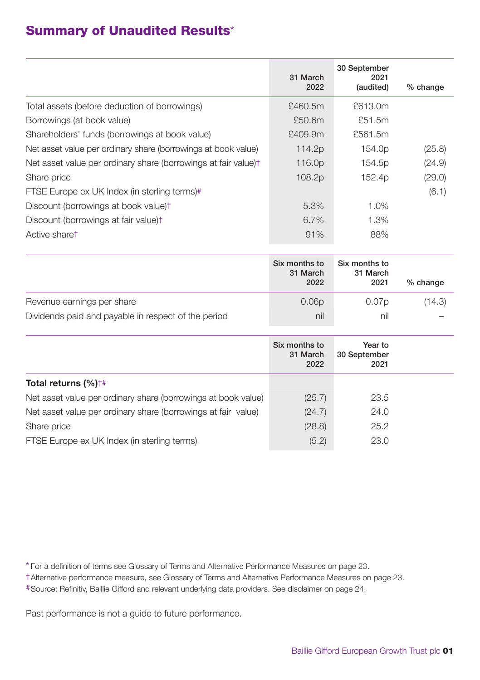### Summary of Unaudited Results\*

|                                                                |                  | 30 September       |            |
|----------------------------------------------------------------|------------------|--------------------|------------|
|                                                                | 31 March<br>2022 | 2021<br>(audited)  | $%$ change |
| Total assets (before deduction of borrowings)                  | £460.5m          | £613.0m            |            |
| Borrowings (at book value)                                     | £50.6m           | £51.5m             |            |
| Shareholders' funds (borrowings at book value)                 | £409.9m          | £561.5m            |            |
| Net asset value per ordinary share (borrowings at book value)  | 114.2p           | 154.0 <sub>p</sub> | (25.8)     |
| Net asset value per ordinary share (borrowings at fair value)t | 116.0p           | 154.5p             | (24.9)     |
| Share price                                                    | 108.2p           | 152.4p             | (29.0)     |
| FTSE Europe ex UK Index (in sterling terms)#                   |                  |                    | (6.1)      |
| Discount (borrowings at book value)t                           | 5.3%             | 1.0%               |            |
| Discount (borrowings at fair value)t                           | 6.7%             | 1.3%               |            |
| Active sharet                                                  | 91%              | 88%                |            |

|                                                     | Six months to<br>31 March<br>2022 | Six months to<br>31 March<br>2021 | $%$ change |
|-----------------------------------------------------|-----------------------------------|-----------------------------------|------------|
| Revenue earnings per share                          | 0.06 <sub>D</sub>                 | 0.07p                             | (14.3)     |
| Dividends paid and payable in respect of the period | nil                               | nil                               |            |

|                                                               | Six months to<br>31 March<br>2022 | Year to<br>30 September<br>2021 |  |
|---------------------------------------------------------------|-----------------------------------|---------------------------------|--|
| Total returns $(\%)^{\dagger\#}$                              |                                   |                                 |  |
| Net asset value per ordinary share (borrowings at book value) | (25.7)                            | 23.5                            |  |
| Net asset value per ordinary share (borrowings at fair value) | (24.7)                            | 24.0                            |  |
| Share price                                                   | (28.8)                            | 25.2                            |  |
| FTSE Europe ex UK Index (in sterling terms)                   | (5.2)                             | 23.0                            |  |

\* For a definition of terms see Glossary of Terms and Alternative Performance Measures on page 23.

†Alternative performance measure, see Glossary of Terms and Alternative Performance Measures on page 23.

#Source: Refinitiv, Baillie Gifford and relevant underlying data providers. See disclaimer on page 24.

Past performance is not a guide to future performance.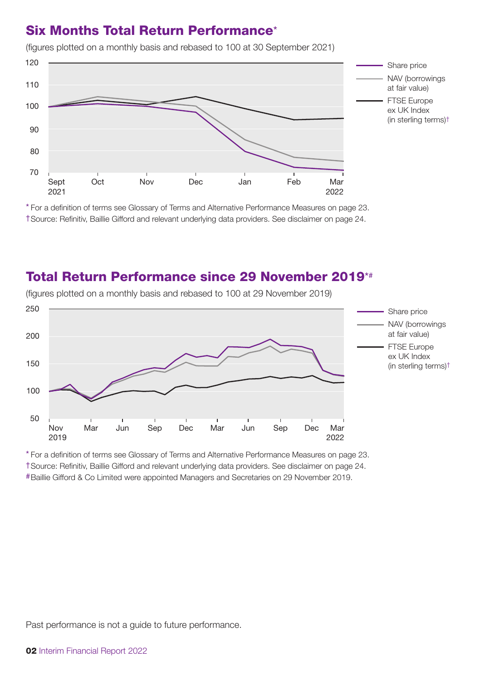### Six Months Total Return Performance\*

- Share price NAV (borrowings at fair value) FTSE Europe ex UK Index (in sterling terms)† Sept 2021 Oct Nov Dec Jan Feb Mar 2022 Nov Dec Jan Feb 70 120 80 100 110  $90$ 

(figures plotted on a monthly basis and rebased to 100 at 30 September 2021)

\* For a definition of terms see Glossary of Terms and Alternative Performance Measures on page 23. †Source: Refinitiv, Baillie Gifford and relevant underlying data providers. See disclaimer on page 24.

### Total Return Performance since 29 November 2019\*#



(figures plotted on a monthly basis and rebased to 100 at 29 November 2019)

\* For a definition of terms see Glossary of Terms and Alternative Performance Measures on page 23.

†Source: Refinitiv, Baillie Gifford and relevant underlying data providers. See disclaimer on page 24.

#Baillie Gifford & Co Limited were appointed Managers and Secretaries on 29 November 2019.

Past performance is not a guide to future performance.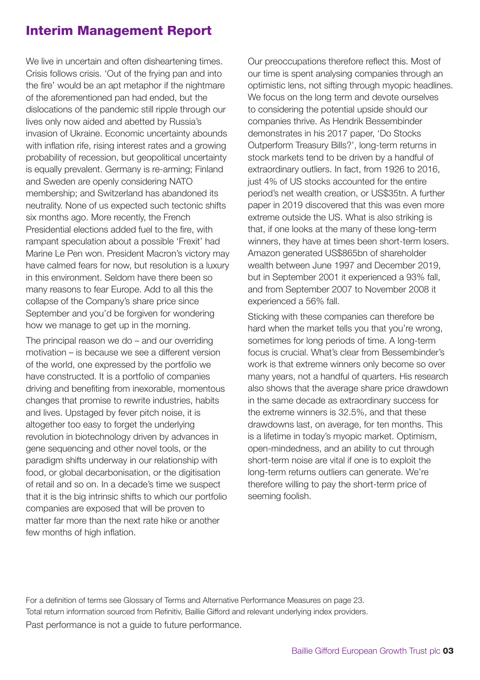### Interim Management Report

We live in uncertain and often disheartening times. Crisis follows crisis. 'Out of the frying pan and into the fire' would be an apt metaphor if the nightmare of the aforementioned pan had ended, but the dislocations of the pandemic still ripple through our lives only now aided and abetted by Russia's invasion of Ukraine. Economic uncertainty abounds with inflation rife, rising interest rates and a growing probability of recession, but geopolitical uncertainty is equally prevalent. Germany is re-arming; Finland and Sweden are openly considering NATO membership; and Switzerland has abandoned its neutrality. None of us expected such tectonic shifts six months ago. More recently, the French Presidential elections added fuel to the fire, with rampant speculation about a possible 'Frexit' had Marine Le Pen won. President Macron's victory may have calmed fears for now, but resolution is a luxury in this environment. Seldom have there been so many reasons to fear Europe. Add to all this the collapse of the Company's share price since September and you'd be forgiven for wondering how we manage to get up in the morning. The principal reason we do – and our overriding motivation – is because we see a different version of the world, one expressed by the portfolio we have constructed. It is a portfolio of companies driving and benefiting from inexorable, momentous changes that promise to rewrite industries, habits and lives. Upstaged by fever pitch noise, it is altogether too easy to forget the underlying revolution in biotechnology driven by advances in gene sequencing and other novel tools, or the paradigm shifts underway in our relationship with food, or global decarbonisation, or the digitisation of retail and so on. In a decade's time we suspect that it is the big intrinsic shifts to which our portfolio companies are exposed that will be proven to matter far more than the next rate hike or another few months of high inflation.

Our preoccupations therefore reflect this. Most of our time is spent analysing companies through an optimistic lens, not sifting through myopic headlines. We focus on the long term and devote ourselves to considering the potential upside should our companies thrive. As Hendrik Bessembinder demonstrates in his 2017 paper, 'Do Stocks Outperform Treasury Bills?', long-term returns in stock markets tend to be driven by a handful of extraordinary outliers. In fact, from 1926 to 2016, just 4% of US stocks accounted for the entire period's net wealth creation, or US\$35tn. A further paper in 2019 discovered that this was even more extreme outside the US. What is also striking is that, if one looks at the many of these long-term winners, they have at times been short-term losers. Amazon generated US\$865bn of shareholder wealth between June 1997 and December 2019, but in September 2001 it experienced a 93% fall, and from September 2007 to November 2008 it experienced a 56% fall.

Sticking with these companies can therefore be hard when the market tells you that you're wrong, sometimes for long periods of time. A long-term focus is crucial. What's clear from Bessembinder's work is that extreme winners only become so over many years, not a handful of quarters. His research also shows that the average share price drawdown in the same decade as extraordinary success for the extreme winners is 32.5%, and that these drawdowns last, on average, for ten months. This is a lifetime in today's myopic market. Optimism, open-mindedness, and an ability to cut through short-term noise are vital if one is to exploit the long-term returns outliers can generate. We're therefore willing to pay the short-term price of seeming foolish.

For a definition of terms see Glossary of Terms and Alternative Performance Measures on page 23. Total return information sourced from Refinitiv, Baillie Gifford and relevant underlying index providers. Past performance is not a guide to future performance.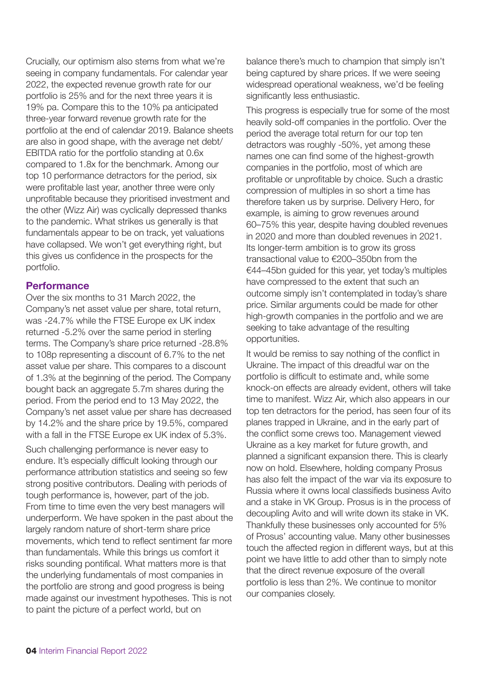Crucially, our optimism also stems from what we're seeing in company fundamentals. For calendar year 2022, the expected revenue growth rate for our portfolio is 25% and for the next three years it is 19% pa. Compare this to the 10% pa anticipated three-year forward revenue growth rate for the portfolio at the end of calendar 2019. Balance sheets are also in good shape, with the average net debt/ EBITDA ratio for the portfolio standing at 0.6x compared to 1.8x for the benchmark. Among our top 10 performance detractors for the period, six were profitable last year, another three were only unprofitable because they prioritised investment and the other (Wizz Air) was cyclically depressed thanks to the pandemic. What strikes us generally is that fundamentals appear to be on track, yet valuations have collapsed. We won't get everything right, but this gives us confidence in the prospects for the portfolio.

### **Performance**

Over the six months to 31 March 2022, the Company's net asset value per share, total return, was -24.7% while the FTSE Europe ex UK index returned -5.2% over the same period in sterling terms. The Company's share price returned -28.8% to 108p representing a discount of 6.7% to the net asset value per share. This compares to a discount of 1.3% at the beginning of the period. The Company bought back an aggregate 5.7m shares during the period. From the period end to 13 May 2022, the Company's net asset value per share has decreased by 14.2% and the share price by 19.5%, compared with a fall in the FTSE Europe ex UK index of 5.3%.

Such challenging performance is never easy to endure. It's especially difficult looking through our performance attribution statistics and seeing so few strong positive contributors. Dealing with periods of tough performance is, however, part of the job. From time to time even the very best managers will underperform. We have spoken in the past about the largely random nature of short-term share price movements, which tend to reflect sentiment far more than fundamentals. While this brings us comfort it risks sounding pontifical. What matters more is that the underlying fundamentals of most companies in the portfolio are strong and good progress is being made against our investment hypotheses. This is not to paint the picture of a perfect world, but on

balance there's much to champion that simply isn't being captured by share prices. If we were seeing widespread operational weakness, we'd be feeling significantly less enthusiastic.

This progress is especially true for some of the most heavily sold-off companies in the portfolio. Over the period the average total return for our top ten detractors was roughly -50%, yet among these names one can find some of the highest-growth companies in the portfolio, most of which are profitable or unprofitable by choice. Such a drastic compression of multiples in so short a time has therefore taken us by surprise. Delivery Hero, for example, is aiming to grow revenues around 60–75% this year, despite having doubled revenues in 2020 and more than doubled revenues in 2021. Its longer-term ambition is to grow its gross transactional value to €200–350bn from the €44–45bn guided for this year, yet today's multiples have compressed to the extent that such an outcome simply isn't contemplated in today's share price. Similar arguments could be made for other high-growth companies in the portfolio and we are seeking to take advantage of the resulting opportunities.

It would be remiss to say nothing of the conflict in Ukraine. The impact of this dreadful war on the portfolio is difficult to estimate and, while some knock-on effects are already evident, others will take time to manifest. Wizz Air, which also appears in our top ten detractors for the period, has seen four of its planes trapped in Ukraine, and in the early part of the conflict some crews too. Management viewed Ukraine as a key market for future growth, and planned a significant expansion there. This is clearly now on hold. Elsewhere, holding company Prosus has also felt the impact of the war via its exposure to Russia where it owns local classifieds business Avito and a stake in VK Group. Prosus is in the process of decoupling Avito and will write down its stake in VK. Thankfully these businesses only accounted for 5% of Prosus' accounting value. Many other businesses touch the affected region in different ways, but at this point we have little to add other than to simply note that the direct revenue exposure of the overall portfolio is less than 2%. We continue to monitor our companies closely.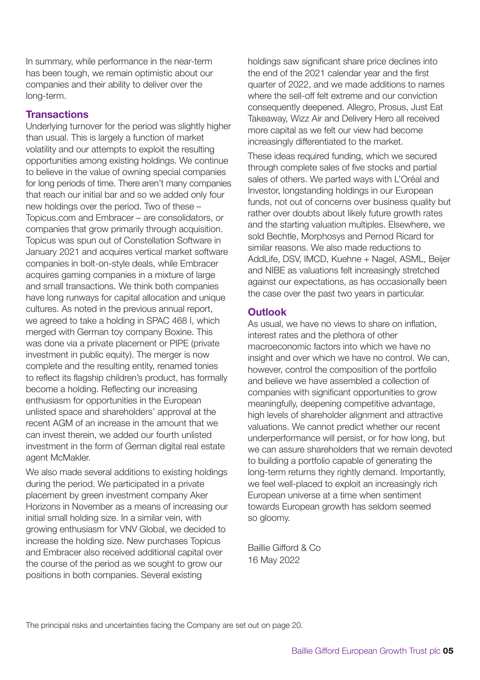In summary, while performance in the near-term has been tough, we remain optimistic about our companies and their ability to deliver over the long-term.

#### **Transactions**

Underlying turnover for the period was slightly higher than usual. This is largely a function of market volatility and our attempts to exploit the resulting opportunities among existing holdings. We continue to believe in the value of owning special companies for long periods of time. There aren't many companies that reach our initial bar and so we added only four new holdings over the period. Two of these – Topicus.com and Embracer – are consolidators, or companies that grow primarily through acquisition. Topicus was spun out of Constellation Software in January 2021 and acquires vertical market software companies in bolt-on-style deals, while Embracer acquires gaming companies in a mixture of large and small transactions. We think both companies have long runways for capital allocation and unique cultures. As noted in the previous annual report, we agreed to take a holding in SPAC 468 I, which merged with German toy company Boxine. This was done via a private placement or PIPE (private investment in public equity). The merger is now complete and the resulting entity, renamed tonies to reflect its flagship children's product, has formally become a holding. Reflecting our increasing enthusiasm for opportunities in the European unlisted space and shareholders' approval at the recent AGM of an increase in the amount that we can invest therein, we added our fourth unlisted investment in the form of German digital real estate agent McMakler.

We also made several additions to existing holdings during the period. We participated in a private placement by green investment company Aker Horizons in November as a means of increasing our initial small holding size. In a similar vein, with growing enthusiasm for VNV Global, we decided to increase the holding size. New purchases Topicus and Embracer also received additional capital over the course of the period as we sought to grow our positions in both companies. Several existing

holdings saw significant share price declines into the end of the 2021 calendar year and the first quarter of 2022, and we made additions to names where the sell-off felt extreme and our conviction consequently deepened. Allegro, Prosus, Just Eat Takeaway, Wizz Air and Delivery Hero all received more capital as we felt our view had become increasingly differentiated to the market.

These ideas required funding, which we secured through complete sales of five stocks and partial sales of others. We parted ways with L'Oréal and Investor, longstanding holdings in our European funds, not out of concerns over business quality but rather over doubts about likely future growth rates and the starting valuation multiples. Elsewhere, we sold Bechtle, Morphosys and Pernod Ricard for similar reasons. We also made reductions to AddLife, DSV, IMCD, Kuehne + Nagel, ASML, Beijer and NIBE as valuations felt increasingly stretched against our expectations, as has occasionally been the case over the past two years in particular.

### **Outlook**

As usual, we have no views to share on inflation, interest rates and the plethora of other macroeconomic factors into which we have no insight and over which we have no control. We can, however, control the composition of the portfolio and believe we have assembled a collection of companies with significant opportunities to grow meaningfully, deepening competitive advantage, high levels of shareholder alignment and attractive valuations. We cannot predict whether our recent underperformance will persist, or for how long, but we can assure shareholders that we remain devoted to building a portfolio capable of generating the long-term returns they rightly demand. Importantly, we feel well-placed to exploit an increasingly rich European universe at a time when sentiment towards European growth has seldom seemed so gloomy.

Baillie Gifford & Co 16 May 2022

The principal risks and uncertainties facing the Company are set out on page 20.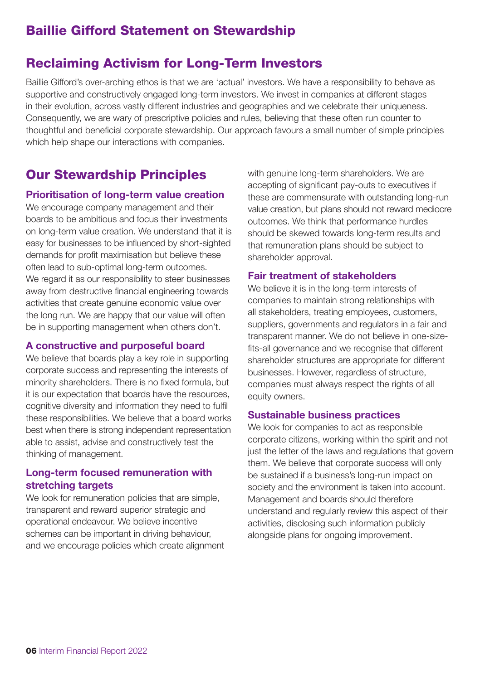### Baillie Gifford Statement on Stewardship

### Reclaiming Activism for Long-Term Investors

Baillie Gifford's over-arching ethos is that we are 'actual' investors. We have a responsibility to behave as supportive and constructively engaged long-term investors. We invest in companies at different stages in their evolution, across vastly different industries and geographies and we celebrate their uniqueness. Consequently, we are wary of prescriptive policies and rules, believing that these often run counter to thoughtful and beneficial corporate stewardship. Our approach favours a small number of simple principles which help shape our interactions with companies.

### Our Stewardship Principles

#### **Prioritisation of long-term value creation**

We encourage company management and their boards to be ambitious and focus their investments on long-term value creation. We understand that it is easy for businesses to be influenced by short-sighted demands for profit maximisation but believe these often lead to sub-optimal long-term outcomes. We regard it as our responsibility to steer businesses away from destructive financial engineering towards activities that create genuine economic value over the long run. We are happy that our value will often be in supporting management when others don't.

#### **A constructive and purposeful board**

We believe that boards play a key role in supporting corporate success and representing the interests of minority shareholders. There is no fixed formula, but it is our expectation that boards have the resources, cognitive diversity and information they need to fulfil these responsibilities. We believe that a board works best when there is strong independent representation able to assist, advise and constructively test the thinking of management.

### **Long-term focused remuneration with stretching targets**

We look for remuneration policies that are simple, transparent and reward superior strategic and operational endeavour. We believe incentive schemes can be important in driving behaviour, and we encourage policies which create alignment with genuine long-term shareholders. We are accepting of significant pay-outs to executives if these are commensurate with outstanding long-run value creation, but plans should not reward mediocre outcomes. We think that performance hurdles should be skewed towards long-term results and that remuneration plans should be subject to shareholder approval.

### **Fair treatment of stakeholders**

We believe it is in the long-term interests of companies to maintain strong relationships with all stakeholders, treating employees, customers, suppliers, governments and regulators in a fair and transparent manner. We do not believe in one-sizefits-all governance and we recognise that different shareholder structures are appropriate for different businesses. However, regardless of structure, companies must always respect the rights of all equity owners.

#### **Sustainable business practices**

We look for companies to act as responsible corporate citizens, working within the spirit and not just the letter of the laws and regulations that govern them. We believe that corporate success will only be sustained if a business's long-run impact on society and the environment is taken into account. Management and boards should therefore understand and regularly review this aspect of their activities, disclosing such information publicly alongside plans for ongoing improvement.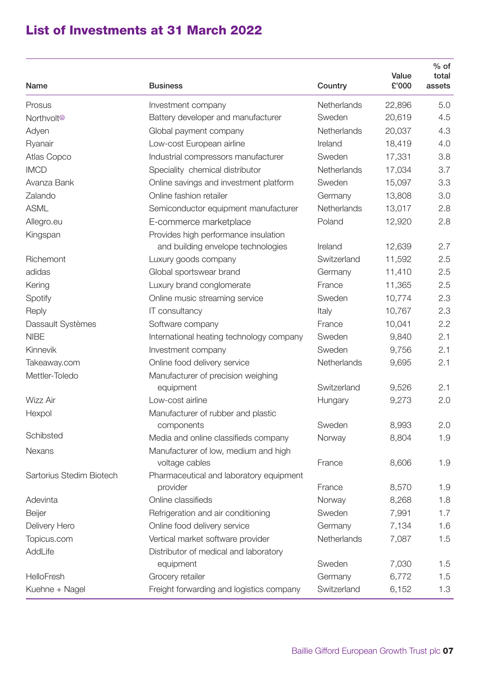### List of Investments at 31 March 2022

| Name                           | <b>Business</b>                                                            | Country     | Value<br>£'000 | $%$ of<br>total<br>assets |
|--------------------------------|----------------------------------------------------------------------------|-------------|----------------|---------------------------|
| Prosus                         | Investment company                                                         | Netherlands | 22,896         | 5.0                       |
| Northvolt <sup>®</sup>         | Battery developer and manufacturer                                         | Sweden      | 20,619         | 4.5                       |
| Adyen                          | Global payment company                                                     | Netherlands | 20,037         | 4.3                       |
| Ryanair                        | Low-cost European airline                                                  | Ireland     | 18,419         | 4.0                       |
| <b>Atlas Copco</b>             | Industrial compressors manufacturer                                        | Sweden      | 17,331         | 3.8                       |
| <b>IMCD</b>                    | Speciality chemical distributor                                            | Netherlands | 17,034         | 3.7                       |
| Avanza Bank                    | Online savings and investment platform                                     | Sweden      | 15,097         | 3.3                       |
| Zalando                        | Online fashion retailer                                                    | Germany     | 13,808         | 3.0                       |
| <b>ASML</b>                    | Semiconductor equipment manufacturer                                       | Netherlands | 13,017         | 2.8                       |
| Allegro.eu                     | E-commerce marketplace                                                     | Poland      | 12,920         | 2.8                       |
| Kingspan                       | Provides high performance insulation<br>and building envelope technologies | Ireland     | 12,639         | 2.7                       |
| Richemont                      | Luxury goods company                                                       | Switzerland | 11,592         | 2.5                       |
| adidas                         | Global sportswear brand                                                    | Germany     | 11,410         | 2.5                       |
| Kering                         | Luxury brand conglomerate                                                  | France      | 11,365         | 2.5                       |
|                                | Online music streaming service                                             | Sweden      | 10,774         | 2.3                       |
| Spotify<br>Reply               | IT consultancy                                                             | Italy       | 10,767         | 2.3                       |
| Dassault Systèmes              | Software company                                                           | France      | 10,041         | 2.2                       |
| <b>NIBE</b>                    | International heating technology company                                   | Sweden      | 9,840          | 2.1                       |
| Kinnevik                       |                                                                            | Sweden      | 9,756          | 2.1                       |
|                                | Investment company                                                         | Netherlands |                | 2.1                       |
| Takeaway.com<br>Mettler-Toledo | Online food delivery service                                               |             | 9,695          |                           |
|                                | Manufacturer of precision weighing<br>equipment                            | Switzerland | 9,526          | 2.1                       |
| <b>Wizz Air</b>                | Low-cost airline                                                           | Hungary     | 9,273          | 2.0                       |
| Hexpol                         | Manufacturer of rubber and plastic                                         |             |                |                           |
|                                | components                                                                 | Sweden      | 8,993          | 2.0                       |
| Schibsted                      | Media and online classifieds company                                       | Norway      | 8,804          | 1.9                       |
| <b>Nexans</b>                  | Manufacturer of low, medium and high                                       |             |                |                           |
|                                | voltage cables                                                             | France      | 8,606          | 1.9                       |
| Sartorius Stedim Biotech       | Pharmaceutical and laboratory equipment<br>provider                        | France      | 8,570          | 1.9                       |
| Adevinta                       | Online classifieds                                                         | Norway      | 8,268          | 1.8                       |
| Beijer                         | Refrigeration and air conditioning                                         | Sweden      | 7,991          | 1.7                       |
| Delivery Hero                  | Online food delivery service                                               | Germany     | 7,134          | 1.6                       |
| Topicus.com                    | Vertical market software provider                                          | Netherlands | 7,087          | 1.5                       |
| AddLife                        | Distributor of medical and laboratory                                      |             |                |                           |
|                                | equipment                                                                  | Sweden      | 7,030          | 1.5                       |
| HelloFresh                     | Grocery retailer                                                           | Germany     | 6,772          | 1.5                       |
| Kuehne + Nagel                 | Freight forwarding and logistics company                                   | Switzerland | 6,152          | 1.3                       |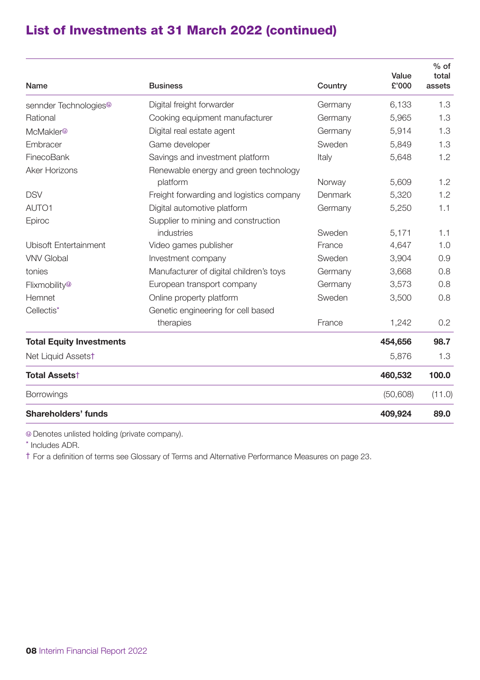## List of Investments at 31 March 2022 (continued)

|                                   |                                                   |         | Value    | $%$ of<br>total |
|-----------------------------------|---------------------------------------------------|---------|----------|-----------------|
| Name                              | <b>Business</b>                                   | Country | £'000    | assets          |
| sennder Technologies <sup>®</sup> | Digital freight forwarder                         | Germany | 6,133    | 1.3             |
| Rational                          | Cooking equipment manufacturer                    | Germany | 5.965    | 1.3             |
| McMakler <sup>®</sup>             | Digital real estate agent                         | Germany | 5,914    | 1.3             |
| Embracer                          | Game developer                                    | Sweden  | 5,849    | 1.3             |
| FinecoBank                        | Savings and investment platform                   | Italy   | 5,648    | 1.2             |
| <b>Aker Horizons</b>              | Renewable energy and green technology<br>platform | Norway  | 5,609    | 1.2             |
| <b>DSV</b>                        | Freight forwarding and logistics company          | Denmark | 5,320    | 1.2             |
| AUTO1                             | Digital automotive platform                       | Germany | 5,250    | 1.1             |
| Epiroc                            | Supplier to mining and construction               |         |          |                 |
|                                   | industries                                        | Sweden  | 5,171    | 1.1             |
| <b>Ubisoft Fntertainment</b>      | Video games publisher                             | France  | 4,647    | 1.0             |
| <b>VNV Global</b>                 | Investment company                                | Sweden  | 3,904    | 0.9             |
| tonies                            | Manufacturer of digital children's toys           | Germany | 3,668    | 0.8             |
| Flixmobility <sup>®</sup>         | European transport company                        | Germany | 3,573    | 0.8             |
| Hemnet                            | Online property platform                          | Sweden  | 3,500    | 0.8             |
| Cellectis*                        | Genetic engineering for cell based                |         |          |                 |
|                                   | therapies                                         | France  | 1.242    | 0.2             |
| <b>Total Equity Investments</b>   |                                                   |         | 454,656  | 98.7            |
| Net Liquid Assetst                |                                                   |         | 5,876    | 1.3             |
| Total Assets <sup>†</sup>         |                                                   |         | 460,532  | 100.0           |
| <b>Borrowings</b>                 |                                                   |         | (50,608) | (11.0)          |
| Shareholders' funds               |                                                   |         | 409,924  | 89.0            |

Denotes unlisted holding (private company).

\* Includes ADR.

† For a definition of terms see Glossary of Terms and Alternative Performance Measures on page 23.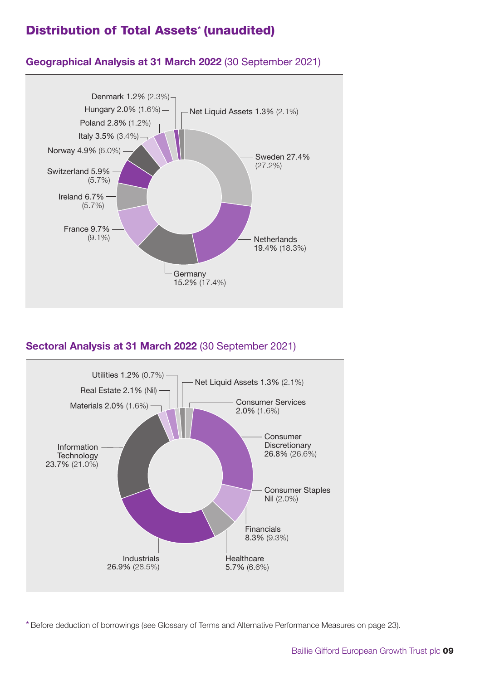### Distribution of Total Assets\* (unaudited)



### **Geographical Analysis at 31 March 2022** (30 September 2021)

### **Sectoral Analysis at 31 March 2022** (30 September 2021)



\* Before deduction of borrowings (see Glossary of Terms and Alternative Performance Measures on page 23).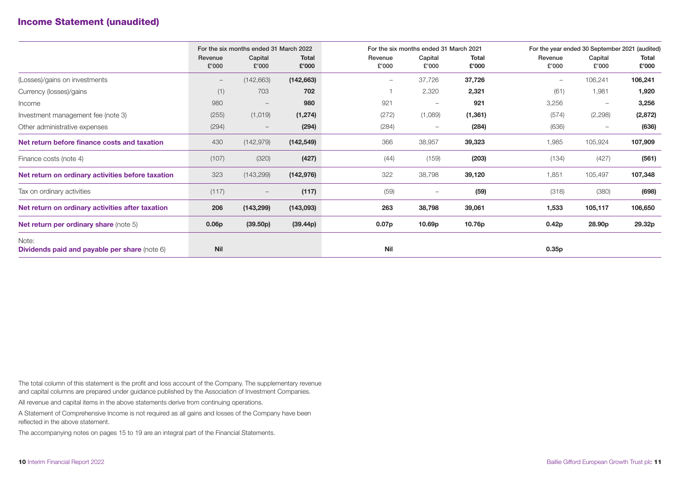### Income Statement (unaudited)

|                                                               |                  | For the six months ended 31 March 2022 |                       |                   | For the six months ended 31 March 2021 |                       |                  | For the year ended 30 September 2021 (audited) |                       |  |
|---------------------------------------------------------------|------------------|----------------------------------------|-----------------------|-------------------|----------------------------------------|-----------------------|------------------|------------------------------------------------|-----------------------|--|
|                                                               | Revenue<br>£'000 | Capital<br>£'000                       | <b>Total</b><br>£'000 | Revenue<br>£'000  | Capital<br>£'000                       | <b>Total</b><br>£'000 | Revenue<br>£'000 | Capital<br>£'000                               | <b>Total</b><br>£'000 |  |
| (Losses)/gains on investments                                 |                  | (142, 663)                             | (142, 663)            | $\qquad \qquad -$ | 37,726                                 | 37,726                |                  | 106,241                                        | 106,241               |  |
| Currency (losses)/gains                                       | (1)              | 703                                    | 702                   |                   | 2,320                                  | 2,321                 | (61)             | 1,981                                          | 1,920                 |  |
| Income                                                        | 980              | $\qquad \qquad -$                      | 980                   | 921               |                                        | 921                   | 3,256            | $\overline{\phantom{m}}$                       | 3,256                 |  |
| Investment management fee (note 3)                            | (255)            | (1,019)                                | (1, 274)              | (272)             | (1,089)                                | (1, 361)              | (574)            | (2,298)                                        | (2, 872)              |  |
| Other administrative expenses                                 | (294)            | $\qquad \qquad -$                      | (294)                 | (284)             | $\qquad \qquad -$                      | (284)                 | (636)            | $\qquad \qquad -$                              | (636)                 |  |
| Net return before finance costs and taxation                  | 430              | (142, 979)                             | (142, 549)            | 366               | 38,957                                 | 39,323                | 1,985            | 105,924                                        | 107,909               |  |
| Finance costs (note 4)                                        | (107)            | (320)                                  | (427)                 | (44)              | (159)                                  | (203)                 | (134)            | (427)                                          | (561)                 |  |
| Net return on ordinary activities before taxation             | 323              | (143, 299)                             | (142, 976)            | 322               | 38,798                                 | 39,120                | 1,851            | 105,497                                        | 107,348               |  |
| Tax on ordinary activities                                    | (117)            | $\qquad \qquad -$                      | (117)                 | (59)              |                                        | (59)                  | (318)            | (380)                                          | (698)                 |  |
| Net return on ordinary activities after taxation              | 206              | (143, 299)                             | (143,093)             | 263               | 38,798                                 | 39,061                | 1,533            | 105,117                                        | 106,650               |  |
| <b>Net return per ordinary share (note 5)</b>                 | 0.06p            | (39.50p)                               | (39.44p)              | 0.07 <sub>p</sub> | 10.69 <sub>p</sub>                     | 10.76p                | 0.42p            | 28.90p                                         | 29.32p                |  |
| Note:<br><b>Dividends paid and payable per share (note 6)</b> | <b>Nil</b>       |                                        |                       | <b>Nil</b>        |                                        |                       | 0.35p            |                                                |                       |  |

The total column of this statement is the profit and loss account of the Company. The supplementary revenue and capital columns are prepared under guidance published by the Association of Investment Companies.

All revenue and capital items in the above statements derive from continuing operations.

A Statement of Comprehensive Income is not required as all gains and losses of the Company have been reflected in the above statement.

The accompanying notes on pages 15 to 19 are an integral part of the Financial Statements.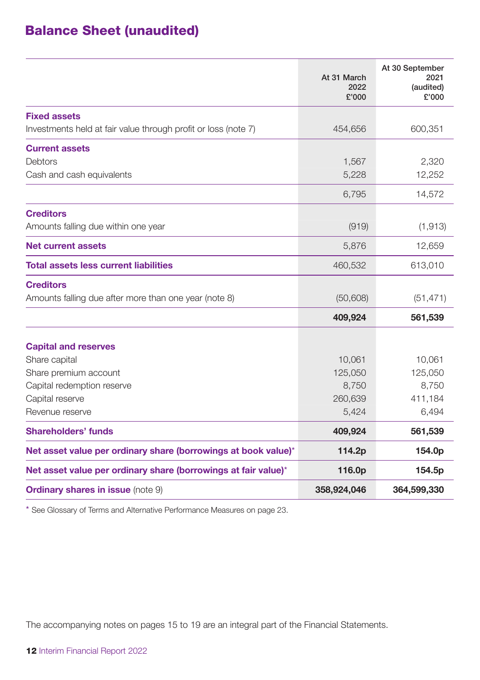# Balance Sheet (unaudited)

|                                                                                                     | At 31 March<br>2022<br>£'000 | At 30 September<br>2021<br>(audited)<br>£'000 |
|-----------------------------------------------------------------------------------------------------|------------------------------|-----------------------------------------------|
| <b>Fixed assets</b><br>Investments held at fair value through profit or loss (note 7)               | 454,656                      | 600,351                                       |
| <b>Current assets</b><br><b>Debtors</b><br>Cash and cash equivalents                                | 1,567<br>5,228               | 2,320<br>12,252                               |
|                                                                                                     | 6,795                        | 14,572                                        |
| <b>Creditors</b><br>Amounts falling due within one year                                             | (919)                        | (1, 913)                                      |
| <b>Net current assets</b>                                                                           | 5,876                        | 12,659                                        |
| Total assets less current liabilities                                                               | 460,532                      | 613,010                                       |
| <b>Creditors</b><br>Amounts falling due after more than one year (note 8)                           | (50, 608)                    | (51, 471)                                     |
|                                                                                                     | 409,924                      | 561,539                                       |
| <b>Capital and reserves</b><br>Share capital<br>Share premium account<br>Capital redemption reserve | 10,061<br>125,050<br>8,750   | 10,061<br>125,050<br>8,750                    |
| Capital reserve<br>Revenue reserve                                                                  | 260,639<br>5,424             | 411,184<br>6,494                              |
| Shareholders' funds                                                                                 | 409,924                      | 561,539                                       |
| Net asset value per ordinary share (borrowings at book value)*                                      | 114.2p                       | 154.0p                                        |
| Net asset value per ordinary share (borrowings at fair value)*                                      | 116.0p                       | 154.5p                                        |
| <b>Ordinary shares in issue (note 9)</b>                                                            | 358,924,046                  | 364,599,330                                   |

\* See Glossary of Terms and Alternative Performance Measures on page 23.

The accompanying notes on pages 15 to 19 are an integral part of the Financial Statements.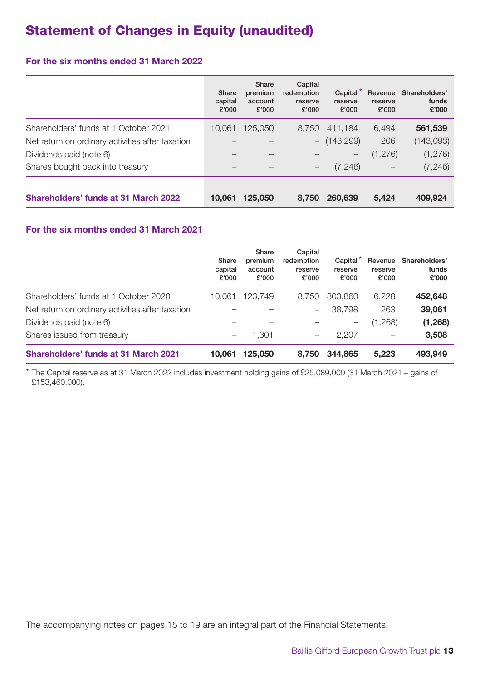# Statement of Changes in Equity (unaudited)

### **For the six months ended 31 March 2022**

|                                                  | Share<br>capital<br>£'000 | Share<br>premium<br>account<br>£'000 | Capital<br>redemption<br>reserve<br>£'000 | Capital<br>reserve<br>£'000     | Revenue<br>reserve<br>£'000 | Shareholders'<br>funds<br>£'000 |
|--------------------------------------------------|---------------------------|--------------------------------------|-------------------------------------------|---------------------------------|-----------------------------|---------------------------------|
| Shareholders' funds at 1 October 2021            | 10.061                    | 125,050                              | 8.750                                     | 411.184                         | 6.494                       | 561,539                         |
| Net return on ordinary activities after taxation |                           |                                      |                                           | $-$ (143,299)                   | 206                         | (143,093)                       |
| Dividends paid (note 6)                          |                           |                                      |                                           | $\hspace{0.1mm}-\hspace{0.1mm}$ | (1,276)                     | (1,276)                         |
| Shares bought back into treasury                 |                           |                                      | -                                         | (7, 246)                        | -                           | (7, 246)                        |
| Shareholders' funds at 31 March 2022             | 10.061                    | 125.050                              | 8.750                                     | 260,639                         | 5.424                       | 409,924                         |

### **For the six months ended 31 March 2021**

|                                                  | Share<br>capital<br>£'000 | Share<br>premium<br>account<br>£'000 | Capital<br>redemption<br>reserve<br>£'000 | Capital<br>reserve<br>£'000 | Revenue<br>reserve<br>£'000 | Shareholders'<br>funds<br>£'000 |
|--------------------------------------------------|---------------------------|--------------------------------------|-------------------------------------------|-----------------------------|-----------------------------|---------------------------------|
| Shareholders' funds at 1 October 2020            | 10.061                    | 123,749                              | 8.750                                     | 303,860                     | 6.228                       | 452,648                         |
| Net return on ordinary activities after taxation |                           |                                      |                                           | 38.798                      | 263                         | 39,061                          |
| Dividends paid (note 6)                          |                           |                                      |                                           | -                           | (1,268)                     | (1,268)                         |
| Shares issued from treasury                      | -                         | 1.301                                | $\qquad \qquad -$                         | 2.207                       | -                           | 3,508                           |
| Shareholders' funds at 31 March 2021             | 10.061                    | 125,050                              | 8.750                                     | 344,865                     | 5.223                       | 493,949                         |

\* The Capital reserve as at 31 March 2022 includes investment holding gains of £25,089,000 (31 March 2021 – gains of £153,460,000).

The accompanying notes on pages 15 to 19 are an integral part of the Financial Statements.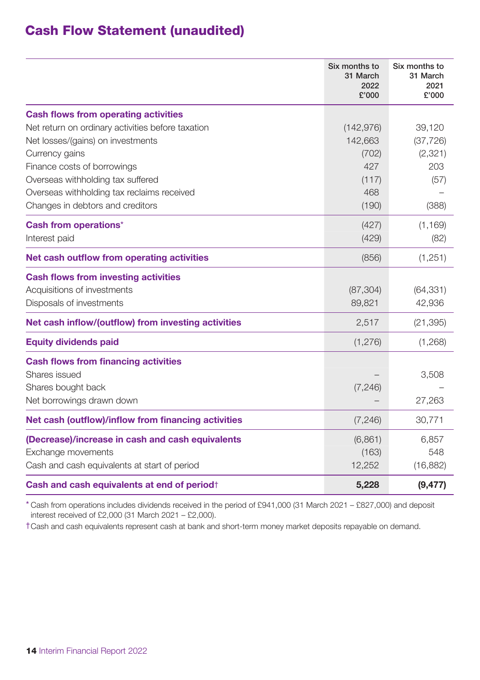### Cash Flow Statement (unaudited)

|                                                         | Six months to<br>31 March<br>2022<br>£'000 | Six months to<br>31 March<br>2021<br>£'000 |
|---------------------------------------------------------|--------------------------------------------|--------------------------------------------|
| <b>Cash flows from operating activities</b>             |                                            |                                            |
| Net return on ordinary activities before taxation       | (142, 976)                                 | 39,120                                     |
| Net losses/(gains) on investments                       | 142,663                                    | (37, 726)                                  |
| Currency gains                                          | (702)                                      | (2,321)                                    |
| Finance costs of borrowings                             | 427                                        | 203                                        |
| Overseas withholding tax suffered                       | (117)                                      | (57)                                       |
| Overseas withholding tax reclaims received              | 468                                        |                                            |
| Changes in debtors and creditors                        | (190)                                      | (388)                                      |
| Cash from operations*                                   | (427)                                      | (1, 169)                                   |
| Interest paid                                           | (429)                                      | (82)                                       |
| Net cash outflow from operating activities              | (856)                                      | (1,251)                                    |
| <b>Cash flows from investing activities</b>             |                                            |                                            |
| Acquisitions of investments                             | (87, 304)                                  | (64, 331)                                  |
| Disposals of investments                                | 89,821                                     | 42,936                                     |
| Net cash inflow/(outflow) from investing activities     | 2,517                                      | (21, 395)                                  |
| <b>Equity dividends paid</b>                            | (1,276)                                    | (1,268)                                    |
| <b>Cash flows from financing activities</b>             |                                            |                                            |
| Shares issued                                           |                                            | 3,508                                      |
| Shares bought back                                      | (7, 246)                                   |                                            |
| Net borrowings drawn down                               |                                            | 27,263                                     |
| Net cash (outflow)/inflow from financing activities     | (7, 246)                                   | 30,771                                     |
| (Decrease)/increase in cash and cash equivalents        | (6,861)                                    | 6,857                                      |
| Exchange movements                                      | (163)                                      | 548                                        |
| Cash and cash equivalents at start of period            | 12,252                                     | (16, 882)                                  |
| Cash and cash equivalents at end of period <sup>+</sup> | 5,228                                      | (9, 477)                                   |

\* Cash from operations includes dividends received in the period of £941,000 (31 March 2021 – £827,000) and deposit interest received of £2,000 (31 March 2021 – £2,000).

†Cash and cash equivalents represent cash at bank and short-term money market deposits repayable on demand.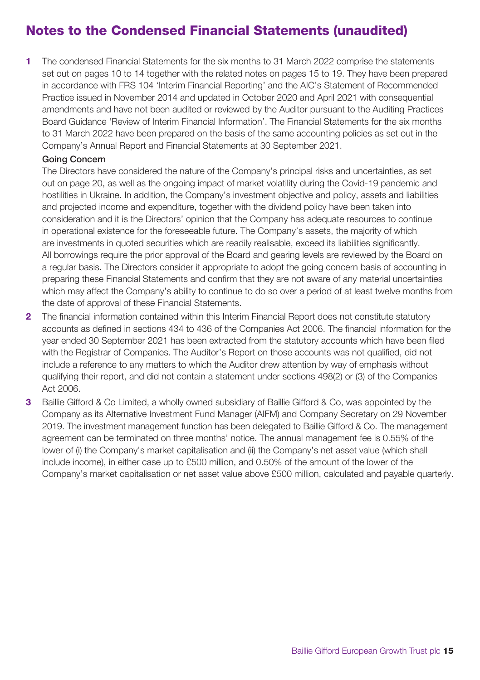# Notes to the Condensed Financial Statements (unaudited)

**1** The condensed Financial Statements for the six months to 31 March 2022 comprise the statements set out on pages 10 to 14 together with the related notes on pages 15 to 19. They have been prepared in accordance with FRS 104 'Interim Financial Reporting' and the AIC's Statement of Recommended Practice issued in November 2014 and updated in October 2020 and April 2021 with consequential amendments and have not been audited or reviewed by the Auditor pursuant to the Auditing Practices Board Guidance 'Review of Interim Financial Information'. The Financial Statements for the six months to 31 March 2022 have been prepared on the basis of the same accounting policies as set out in the Company's Annual Report and Financial Statements at 30 September 2021.

#### Going Concern

The Directors have considered the nature of the Company's principal risks and uncertainties, as set out on page 20, as well as the ongoing impact of market volatility during the Covid-19 pandemic and hostilities in Ukraine. In addition, the Company's investment objective and policy, assets and liabilities and projected income and expenditure, together with the dividend policy have been taken into consideration and it is the Directors' opinion that the Company has adequate resources to continue in operational existence for the foreseeable future. The Company's assets, the majority of which are investments in quoted securities which are readily realisable, exceed its liabilities significantly. All borrowings require the prior approval of the Board and gearing levels are reviewed by the Board on a regular basis. The Directors consider it appropriate to adopt the going concern basis of accounting in preparing these Financial Statements and confirm that they are not aware of any material uncertainties which may affect the Company's ability to continue to do so over a period of at least twelve months from the date of approval of these Financial Statements.

- **2** The financial information contained within this Interim Financial Report does not constitute statutory accounts as defined in sections 434 to 436 of the Companies Act 2006. The financial information for the year ended 30 September 2021 has been extracted from the statutory accounts which have been filed with the Registrar of Companies. The Auditor's Report on those accounts was not qualified, did not include a reference to any matters to which the Auditor drew attention by way of emphasis without qualifying their report, and did not contain a statement under sections 498(2) or (3) of the Companies Act 2006.
- **3** Baillie Gifford & Co Limited, a wholly owned subsidiary of Baillie Gifford & Co, was appointed by the Company as its Alternative Investment Fund Manager (AIFM) and Company Secretary on 29 November 2019. The investment management function has been delegated to Baillie Gifford & Co. The management agreement can be terminated on three months' notice. The annual management fee is 0.55% of the lower of (i) the Company's market capitalisation and (ii) the Company's net asset value (which shall include income), in either case up to £500 million, and 0.50% of the amount of the lower of the Company's market capitalisation or net asset value above £500 million, calculated and payable quarterly.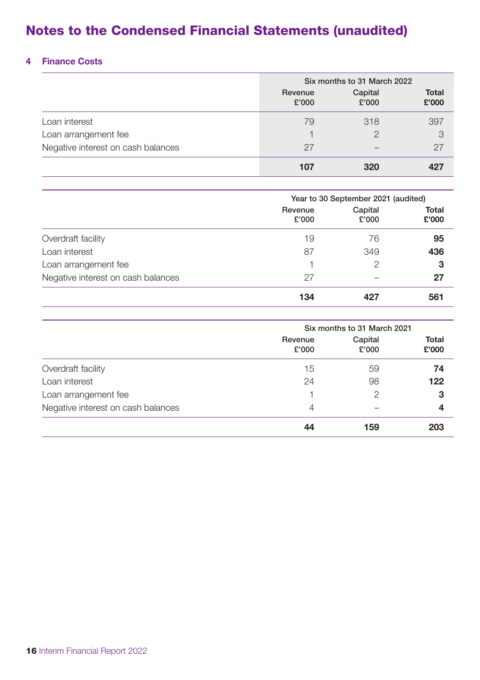# Notes to the Condensed Financial Statements (unaudited)

### **4 Finance Costs**

|                                    | Six months to 31 March 2022 |                  |                       |  |
|------------------------------------|-----------------------------|------------------|-----------------------|--|
|                                    | Revenue<br>£'000            | Capital<br>£'000 | <b>Total</b><br>£'000 |  |
| Loan interest                      | 79                          | 318              | 397                   |  |
| Loan arrangement fee               |                             | 2                | 3                     |  |
| Negative interest on cash balances | 27                          |                  | 27                    |  |
|                                    | 107                         | 320              |                       |  |

|                                    | Year to 30 September 2021 (audited) |                  |                       |  |
|------------------------------------|-------------------------------------|------------------|-----------------------|--|
|                                    | Revenue<br>£'000                    | Capital<br>£'000 | <b>Total</b><br>£'000 |  |
| Overdraft facility                 | 19                                  | 76               | 95                    |  |
| Loan interest                      | 87                                  | 349              | 436                   |  |
| Loan arrangement fee               |                                     | $\mathcal{P}$    | 3                     |  |
| Negative interest on cash balances | 27                                  |                  | 27                    |  |
|                                    | 134                                 | 427              | 561                   |  |

|                                    | Six months to 31 March 2021 |                  |                       |
|------------------------------------|-----------------------------|------------------|-----------------------|
|                                    | Revenue<br>£'000            | Capital<br>£'000 | <b>Total</b><br>£'000 |
| Overdraft facility                 | 15                          | 59               | 74                    |
| Loan interest                      | 24                          | 98               | 122                   |
| Loan arrangement fee               |                             | $\mathcal{P}$    | 3                     |
| Negative interest on cash balances | $\overline{4}$              |                  | 4                     |
|                                    | 44                          | 159              | 203                   |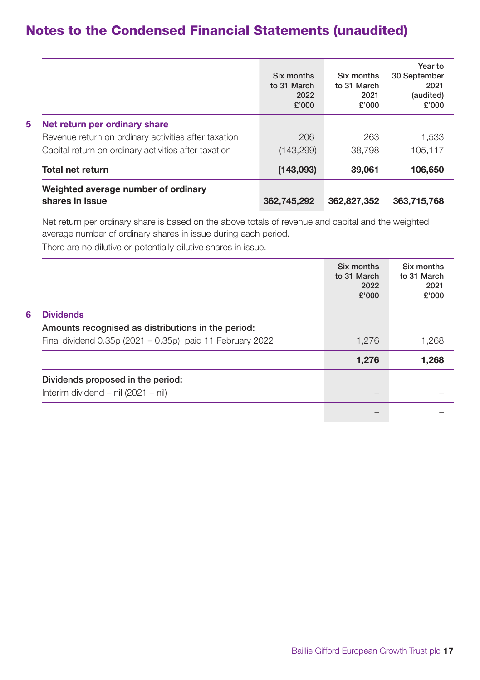### Notes to the Condensed Financial Statements (unaudited)

|   |                                                                                                                                               | Six months<br>to 31 March<br>2022<br>£'000 | Six months<br>to 31 March<br>2021<br>£'000 | Year to<br>30 September<br>2021<br>(audited)<br>£'000 |
|---|-----------------------------------------------------------------------------------------------------------------------------------------------|--------------------------------------------|--------------------------------------------|-------------------------------------------------------|
| 5 | Net return per ordinary share<br>Revenue return on ordinary activities after taxation<br>Capital return on ordinary activities after taxation | 206<br>(143, 299)                          | 263<br>38,798                              | 1.533<br>105.117                                      |
|   | <b>Total net return</b>                                                                                                                       | (143,093)                                  | 39,061                                     | 106,650                                               |
|   | Weighted average number of ordinary<br>shares in issue                                                                                        | 362,745,292                                | 362,827,352                                | 363,715,768                                           |

Net return per ordinary share is based on the above totals of revenue and capital and the weighted average number of ordinary shares in issue during each period.

There are no dilutive or potentially dilutive shares in issue.

|   |                                                            | Six months<br>to 31 March<br>2022<br>£'000 | Six months<br>to 31 March<br>2021<br>£'000 |
|---|------------------------------------------------------------|--------------------------------------------|--------------------------------------------|
| 6 | <b>Dividends</b>                                           |                                            |                                            |
|   | Amounts recognised as distributions in the period:         |                                            |                                            |
|   | Final dividend 0.35p (2021 - 0.35p), paid 11 February 2022 | 1,276                                      | 1,268                                      |
|   |                                                            | 1,276                                      | 1,268                                      |
|   | Dividends proposed in the period:                          |                                            |                                            |
|   | Interim dividend $-$ nil (2021 $-$ nil)                    |                                            |                                            |
|   |                                                            |                                            |                                            |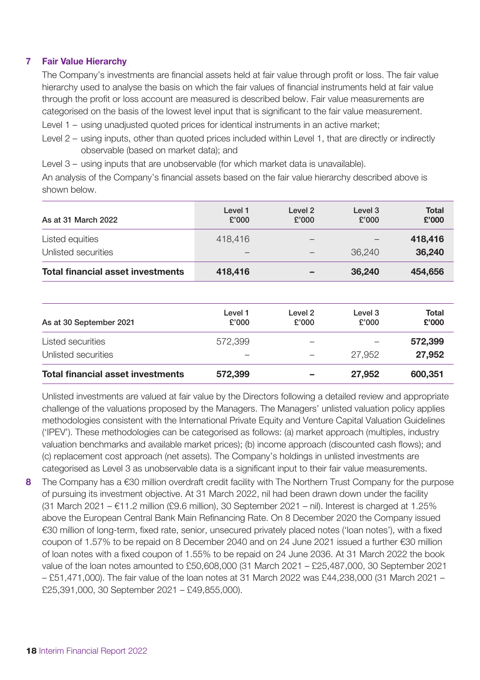#### **7 Fair Value Hierarchy**

The Company's investments are financial assets held at fair value through profit or loss. The fair value hierarchy used to analyse the basis on which the fair values of financial instruments held at fair value through the profit or loss account are measured is described below. Fair value measurements are categorised on the basis of the lowest level input that is significant to the fair value measurement. Level 1 – using unadjusted quoted prices for identical instruments in an active market;

Level 2 – using inputs, other than quoted prices included within Level 1, that are directly or indirectly observable (based on market data); and

Level 3 – using inputs that are unobservable (for which market data is unavailable).

An analysis of the Company's financial assets based on the fair value hierarchy described above is shown below.

| As at 31 March 2022                      | Level 1<br>£'000         | Level 2<br>£'000 | Level 3<br>£'000 | Total<br>£'000 |
|------------------------------------------|--------------------------|------------------|------------------|----------------|
| Listed equities                          | 418,416                  |                  |                  | 418,416        |
| Unlisted securities                      | $\overline{\phantom{a}}$ |                  | 36,240           | 36.240         |
| <b>Total financial asset investments</b> | 418,416                  |                  | 36.240           | 454,656        |

| As at 30 September 2021                  | Level 1<br>£'000 | Level 2<br>£'000         | Level 3<br>£'000 | <b>Total</b><br>£'000 |
|------------------------------------------|------------------|--------------------------|------------------|-----------------------|
| <b>Listed securities</b>                 | 572,399          | $\overline{\phantom{a}}$ |                  | 572,399               |
| Unlisted securities                      |                  |                          | 27,952           | 27,952                |
| <b>Total financial asset investments</b> | 572,399          |                          | 27,952           | 600,351               |

Unlisted investments are valued at fair value by the Directors following a detailed review and appropriate challenge of the valuations proposed by the Managers. The Managers' unlisted valuation policy applies methodologies consistent with the International Private Equity and Venture Capital Valuation Guidelines ('IPEV'). These methodologies can be categorised as follows: (a) market approach (multiples, industry valuation benchmarks and available market prices); (b) income approach (discounted cash flows); and (c) replacement cost approach (net assets). The Company's holdings in unlisted investments are categorised as Level 3 as unobservable data is a significant input to their fair value measurements.

**8** The Company has a €30 million overdraft credit facility with The Northern Trust Company for the purpose of pursuing its investment objective. At 31 March 2022, nil had been drawn down under the facility  $(31$  March 2021 –  $€11.2$  million  $(E9.6$  million), 30 September 2021 – nil). Interest is charged at 1.25% above the European Central Bank Main Refinancing Rate. On 8 December 2020 the Company issued €30 million of long-term, fixed rate, senior, unsecured privately placed notes ('loan notes'), with a fixed coupon of 1.57% to be repaid on 8 December 2040 and on 24 June 2021 issued a further €30 million of loan notes with a fixed coupon of 1.55% to be repaid on 24 June 2036. At 31 March 2022 the book value of the loan notes amounted to £50,608,000 (31 March 2021 – £25,487,000, 30 September 2021 – £51,471,000). The fair value of the loan notes at 31 March 2022 was £44,238,000 (31 March 2021 – £25,391,000, 30 September 2021 – £49,855,000).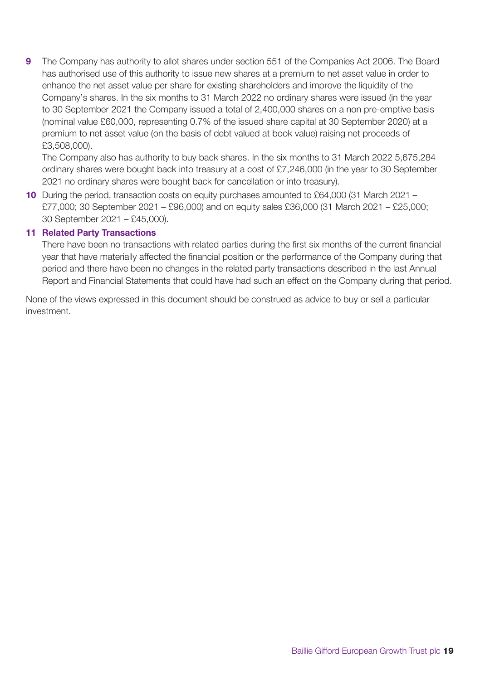**9** The Company has authority to allot shares under section 551 of the Companies Act 2006. The Board has authorised use of this authority to issue new shares at a premium to net asset value in order to enhance the net asset value per share for existing shareholders and improve the liquidity of the Company's shares. In the six months to 31 March 2022 no ordinary shares were issued (in the year to 30 September 2021 the Company issued a total of 2,400,000 shares on a non pre-emptive basis (nominal value £60,000, representing 0.7% of the issued share capital at 30 September 2020) at a premium to net asset value (on the basis of debt valued at book value) raising net proceeds of £3,508,000).

The Company also has authority to buy back shares. In the six months to 31 March 2022 5,675,284 ordinary shares were bought back into treasury at a cost of £7,246,000 (in the year to 30 September 2021 no ordinary shares were bought back for cancellation or into treasury).

**10** During the period, transaction costs on equity purchases amounted to £64,000 (31 March 2021 – £77,000; 30 September 2021 – £96,000) and on equity sales £36,000 (31 March 2021 – £25,000; 30 September 2021 – £45,000).

#### **11 Related Party Transactions**

There have been no transactions with related parties during the first six months of the current financial year that have materially affected the financial position or the performance of the Company during that period and there have been no changes in the related party transactions described in the last Annual Report and Financial Statements that could have had such an effect on the Company during that period.

None of the views expressed in this document should be construed as advice to buy or sell a particular investment.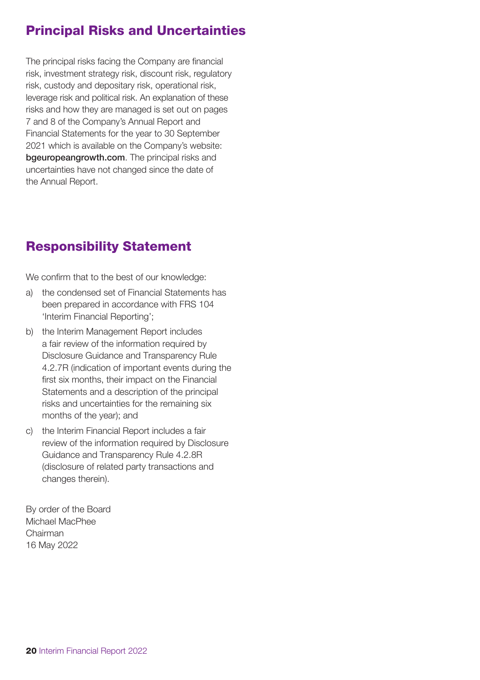## Principal Risks and Uncertainties

The principal risks facing the Company are financial risk, investment strategy risk, discount risk, regulatory risk, custody and depositary risk, operational risk, leverage risk and political risk. An explanation of these risks and how they are managed is set out on pages 7 and 8 of the Company's Annual Report and Financial Statements for the year to 30 September 2021 which is available on the Company's website: [bgeuropeangrowth.com](https://www.bailliegifford.com/en/uk/individual-investors/funds/baillie-gifford-european-growth-trust/). The principal risks and uncertainties have not changed since the date of the Annual Report.

## Responsibility Statement

We confirm that to the best of our knowledge:

- a) the condensed set of Financial Statements has been prepared in accordance with FRS 104 'Interim Financial Reporting';
- b) the Interim Management Report includes a fair review of the information required by Disclosure Guidance and Transparency Rule 4.2.7R (indication of important events during the first six months, their impact on the Financial Statements and a description of the principal risks and uncertainties for the remaining six months of the year); and
- c) the Interim Financial Report includes a fair review of the information required by Disclosure Guidance and Transparency Rule 4.2.8R (disclosure of related party transactions and changes therein).

By order of the Board Michael MacPhee Chairman 16 May 2022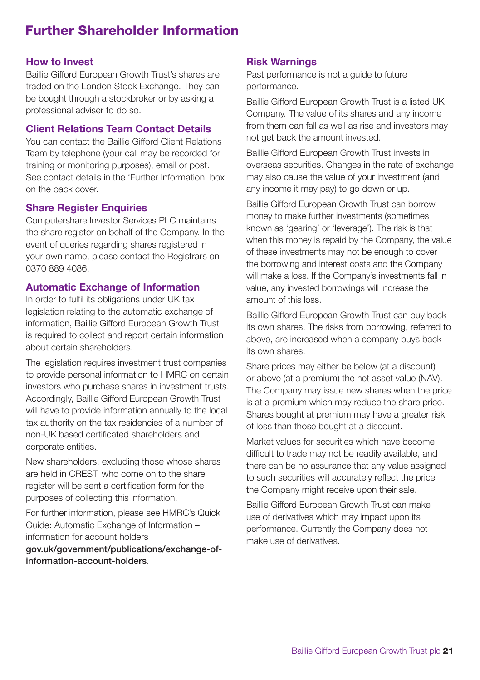### Further Shareholder Information

#### **How to Invest**

Baillie Gifford European Growth Trust's shares are traded on the London Stock Exchange. They can be bought through a stockbroker or by asking a professional adviser to do so.

#### **Client Relations Team Contact Details**

You can contact the Baillie Gifford Client Relations Team by telephone (your call may be recorded for training or monitoring purposes), email or post. See contact details in the 'Further Information' box on the back cover.

### **Share Register Enquiries**

Computershare Investor Services PLC maintains the share register on behalf of the Company. In the event of queries regarding shares registered in your own name, please contact the Registrars on 0370 889 4086.

### **Automatic Exchange of Information**

In order to fulfil its obligations under UK tax legislation relating to the automatic exchange of information, Baillie Gifford European Growth Trust is required to collect and report certain information about certain shareholders.

The legislation requires investment trust companies to provide personal information to HMRC on certain investors who purchase shares in investment trusts. Accordingly, Baillie Gifford European Growth Trust will have to provide information annually to the local tax authority on the tax residencies of a number of non-UK based certificated shareholders and corporate entities.

New shareholders, excluding those whose shares are held in CREST, who come on to the share register will be sent a certification form for the purposes of collecting this information.

For further information, please see HMRC's Quick Guide: Automatic Exchange of Information – information for account holders

[gov.uk/government/publications/exchange-of](https://www.gov.uk/government/publications/exchange-of-information-account-holders)information-account-holders.

### **Risk Warnings**

Past performance is not a guide to future performance.

Baillie Gifford European Growth Trust is a listed UK Company. The value of its shares and any income from them can fall as well as rise and investors may not get back the amount invested.

Baillie Gifford European Growth Trust invests in overseas securities. Changes in the rate of exchange may also cause the value of your investment (and any income it may pay) to go down or up.

Baillie Gifford European Growth Trust can borrow money to make further investments (sometimes known as 'gearing' or 'leverage'). The risk is that when this money is repaid by the Company, the value of these investments may not be enough to cover the borrowing and interest costs and the Company will make a loss. If the Company's investments fall in value, any invested borrowings will increase the amount of this loss.

Baillie Gifford European Growth Trust can buy back its own shares. The risks from borrowing, referred to above, are increased when a company buys back its own shares.

Share prices may either be below (at a discount) or above (at a premium) the net asset value (NAV). The Company may issue new shares when the price is at a premium which may reduce the share price. Shares bought at premium may have a greater risk of loss than those bought at a discount.

Market values for securities which have become difficult to trade may not be readily available, and there can be no assurance that any value assigned to such securities will accurately reflect the price the Company might receive upon their sale.

Baillie Gifford European Growth Trust can make use of derivatives which may impact upon its performance. Currently the Company does not make use of derivatives.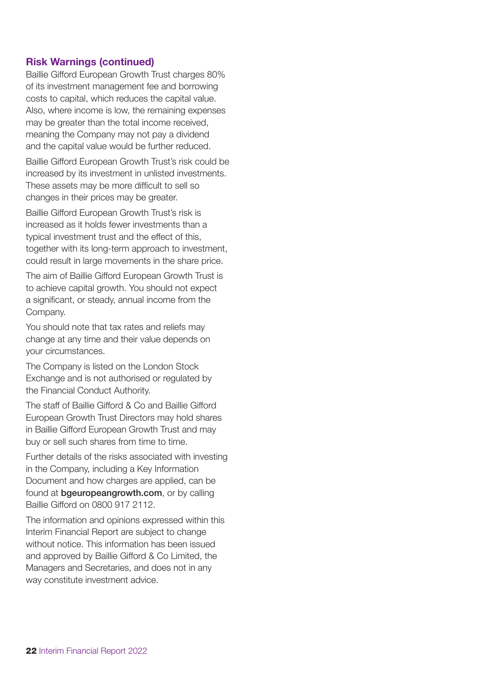#### **Risk Warnings (continued)**

Baillie Gifford European Growth Trust charges 80% of its investment management fee and borrowing costs to capital, which reduces the capital value. Also, where income is low, the remaining expenses may be greater than the total income received, meaning the Company may not pay a dividend and the capital value would be further reduced.

Baillie Gifford European Growth Trust's risk could be increased by its investment in unlisted investments. These assets may be more difficult to sell so changes in their prices may be greater.

Baillie Gifford European Growth Trust's risk is increased as it holds fewer investments than a typical investment trust and the effect of this, together with its long-term approach to investment, could result in large movements in the share price.

The aim of Baillie Gifford European Growth Trust is to achieve capital growth. You should not expect a significant, or steady, annual income from the Company.

You should note that tax rates and reliefs may change at any time and their value depends on your circumstances.

The Company is listed on the London Stock Exchange and is not authorised or regulated by the Financial Conduct Authority.

The staff of Baillie Gifford & Co and Baillie Gifford European Growth Trust Directors may hold shares in Baillie Gifford European Growth Trust and may buy or sell such shares from time to time.

Further details of the risks associated with investing in the Company, including a Key Information Document and how charges are applied, can be found at **[bgeuropeangrowth.com](https://www.bailliegifford.com/en/uk/individual-investors/funds/baillie-gifford-european-growth-trust/)**, or by calling Baillie Gifford on 0800 917 2112.

The information and opinions expressed within this Interim Financial Report are subject to change without notice. This information has been issued and approved by Baillie Gifford & Co Limited, the Managers and Secretaries, and does not in any way constitute investment advice.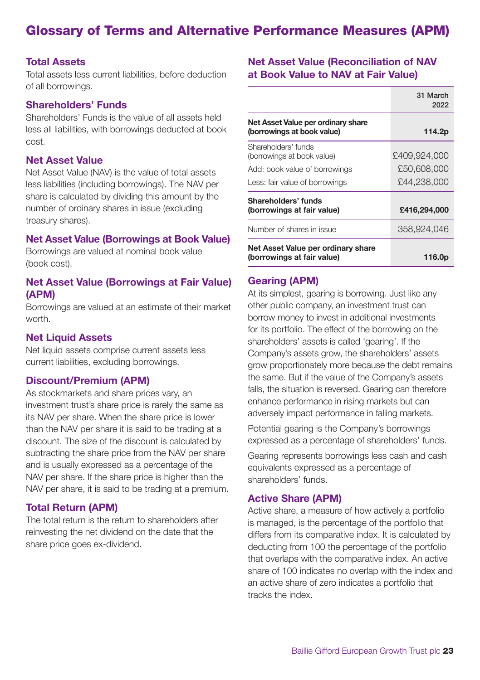### Glossary of Terms and Alternative Performance Measures (APM)

#### **Total Assets**

Total assets less current liabilities, before deduction of all borrowings.

### **Shareholders' Funds**

Shareholders' Funds is the value of all assets held less all liabilities, with borrowings deducted at book cost.

### **Net Asset Value**

Net Asset Value (NAV) is the value of total assets less liabilities (including borrowings). The NAV per share is calculated by dividing this amount by the number of ordinary shares in issue (excluding treasury shares).

#### **Net Asset Value (Borrowings at Book Value)**

Borrowings are valued at nominal book value (book cost).

#### **Net Asset Value (Borrowings at Fair Value) (APM)**

Borrowings are valued at an estimate of their market worth.

#### **Net Liquid Assets**

Net liquid assets comprise current assets less current liabilities, excluding borrowings.

#### **Discount/Premium (APM)**

As stockmarkets and share prices vary, an investment trust's share price is rarely the same as its NAV per share. When the share price is lower than the NAV per share it is said to be trading at a discount. The size of the discount is calculated by subtracting the share price from the NAV per share and is usually expressed as a percentage of the NAV per share. If the share price is higher than the NAV per share, it is said to be trading at a premium.

#### **Total Return (APM)**

The total return is the return to shareholders after reinvesting the net dividend on the date that the share price goes ex-dividend.

#### **Net Asset Value (Reconciliation of NAV at Book Value to NAV at Fair Value)**

|                                                                  | 31 March<br>2022 |
|------------------------------------------------------------------|------------------|
| Net Asset Value per ordinary share<br>(borrowings at book value) | 114.2p           |
| Shareholders' funds<br>(borrowings at book value)                | £409.924.000     |
| Add: book value of borrowings                                    | £50,608,000      |
| Less: fair value of borrowings                                   | £44,238,000      |
| Shareholders' funds<br>(borrowings at fair value)                | £416,294,000     |
| Number of shares in issue                                        | 358.924.046      |
| Net Asset Value per ordinary share<br>(borrowings at fair value) | 116.0p           |

#### **Gearing (APM)**

At its simplest, gearing is borrowing. Just like any other public company, an investment trust can borrow money to invest in additional investments for its portfolio. The effect of the borrowing on the shareholders' assets is called 'gearing'. If the Company's assets grow, the shareholders' assets grow proportionately more because the debt remains the same. But if the value of the Company's assets falls, the situation is reversed. Gearing can therefore enhance performance in rising markets but can adversely impact performance in falling markets.

Potential gearing is the Company's borrowings expressed as a percentage of shareholders' funds.

Gearing represents borrowings less cash and cash equivalents expressed as a percentage of shareholders' funds.

#### **Active Share (APM)**

Active share, a measure of how actively a portfolio is managed, is the percentage of the portfolio that differs from its comparative index. It is calculated by deducting from 100 the percentage of the portfolio that overlaps with the comparative index. An active share of 100 indicates no overlap with the index and an active share of zero indicates a portfolio that tracks the index.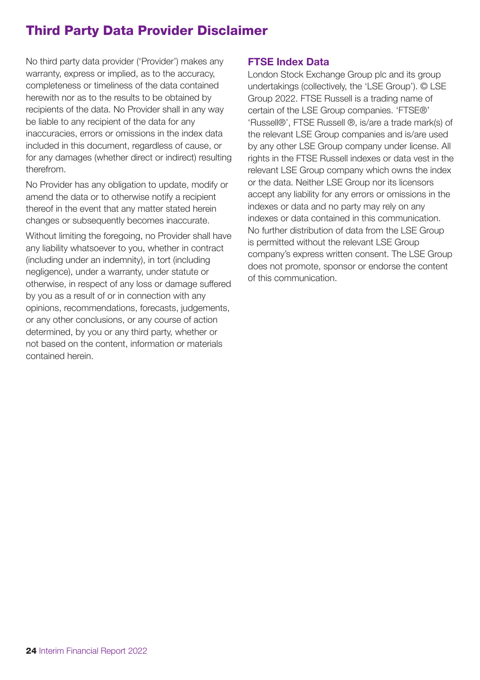# Third Party Data Provider Disclaimer

No third party data provider ('Provider') makes any warranty, express or implied, as to the accuracy, completeness or timeliness of the data contained herewith nor as to the results to be obtained by recipients of the data. No Provider shall in any way be liable to any recipient of the data for any inaccuracies, errors or omissions in the index data included in this document, regardless of cause, or for any damages (whether direct or indirect) resulting therefrom.

No Provider has any obligation to update, modify or amend the data or to otherwise notify a recipient thereof in the event that any matter stated herein changes or subsequently becomes inaccurate.

Without limiting the foregoing, no Provider shall have any liability whatsoever to you, whether in contract (including under an indemnity), in tort (including negligence), under a warranty, under statute or otherwise, in respect of any loss or damage suffered by you as a result of or in connection with any opinions, recommendations, forecasts, judgements, or any other conclusions, or any course of action determined, by you or any third party, whether or not based on the content, information or materials contained herein.

### **FTSE Index Data**

London Stock Exchange Group plc and its group undertakings (collectively, the 'LSE Group'). © LSE Group 2022. FTSE Russell is a trading name of certain of the LSE Group companies. 'FTSE®' 'Russell®', FTSE Russell ®, is/are a trade mark(s) of the relevant LSE Group companies and is/are used by any other LSE Group company under license. All rights in the FTSE Russell indexes or data vest in the relevant LSE Group company which owns the index or the data. Neither LSE Group nor its licensors accept any liability for any errors or omissions in the indexes or data and no party may rely on any indexes or data contained in this communication. No further distribution of data from the LSE Group is permitted without the relevant LSE Group company's express written consent. The LSE Group does not promote, sponsor or endorse the content of this communication.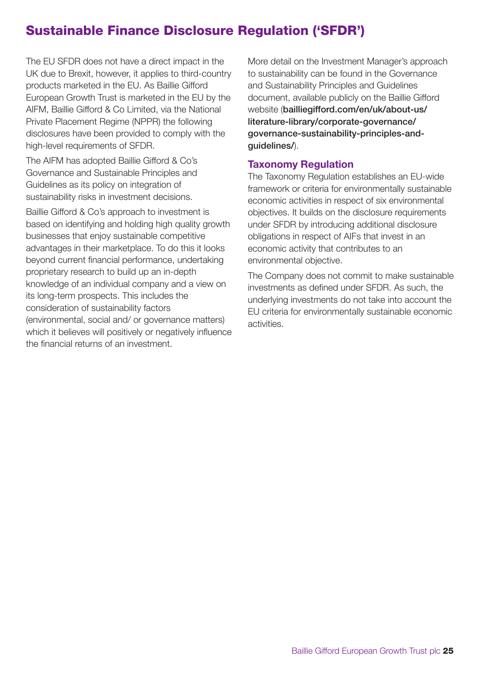# Sustainable Finance Disclosure Regulation ('SFDR')

The EU SFDR does not have a direct impact in the UK due to Brexit, however, it applies to third-country products marketed in the EU. As Baillie Gifford European Growth Trust is marketed in the EU by the AIFM, Baillie Gifford & Co Limited, via the National Private Placement Regime (NPPR) the following disclosures have been provided to comply with the high-level requirements of SFDR.

The AIFM has adopted Baillie Gifford & Co's Governance and Sustainable Principles and Guidelines as its policy on integration of sustainability risks in investment decisions.

Baillie Gifford & Co's approach to investment is based on identifying and holding high quality growth businesses that enjoy sustainable competitive advantages in their marketplace. To do this it looks beyond current financial performance, undertaking proprietary research to build up an in-depth knowledge of an individual company and a view on its long-term prospects. This includes the consideration of sustainability factors (environmental, social and/ or governance matters) which it believes will positively or negatively influence the financial returns of an investment.

More detail on the Investment Manager's approach to sustainability can be found in the Governance and Sustainability Principles and Guidelines document, available publicly on the Baillie Gifford website (bailliegifford.com/en/uk/about-us/ literature-library/corporate-governance/ [governance-sustainability-principles-and](https://www.bailliegifford.com/literature-library/corporate-governance/governance-and-sustainability-principles-and-guidelines/)guidelines/).

### **Taxonomy Regulation**

The Taxonomy Regulation establishes an EU-wide framework or criteria for environmentally sustainable economic activities in respect of six environmental objectives. It builds on the disclosure requirements under SFDR by introducing additional disclosure obligations in respect of AIFs that invest in an economic activity that contributes to an environmental objective.

The Company does not commit to make sustainable investments as defined under SFDR. As such, the underlying investments do not take into account the EU criteria for environmentally sustainable economic activities.